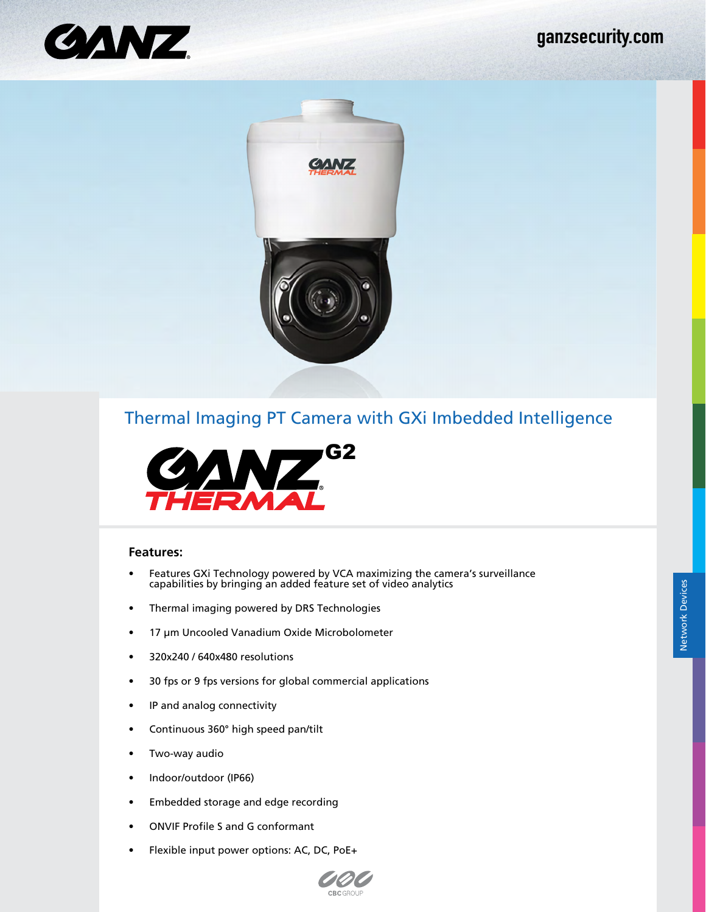





#### **Features:**

• Features GXi Technology powered by VCA maximizing the camera's surveillance capabilities by bringing an added feature set of video analytics

CRCGROL

- Thermal imaging powered by DRS Technologies
- 17 μm Uncooled Vanadium Oxide Microbolometer
- 320x240 / 640x480 resolutions
- 30 fps or 9 fps versions for global commercial applications
- IP and analog connectivity
- Continuous 360° high speed pan/tilt
- Two-way audio
- Indoor/outdoor (IP66)
- Embedded storage and edge recording
- ONVIF Profile S and G conformant
- Flexible input power options: AC, DC, PoE+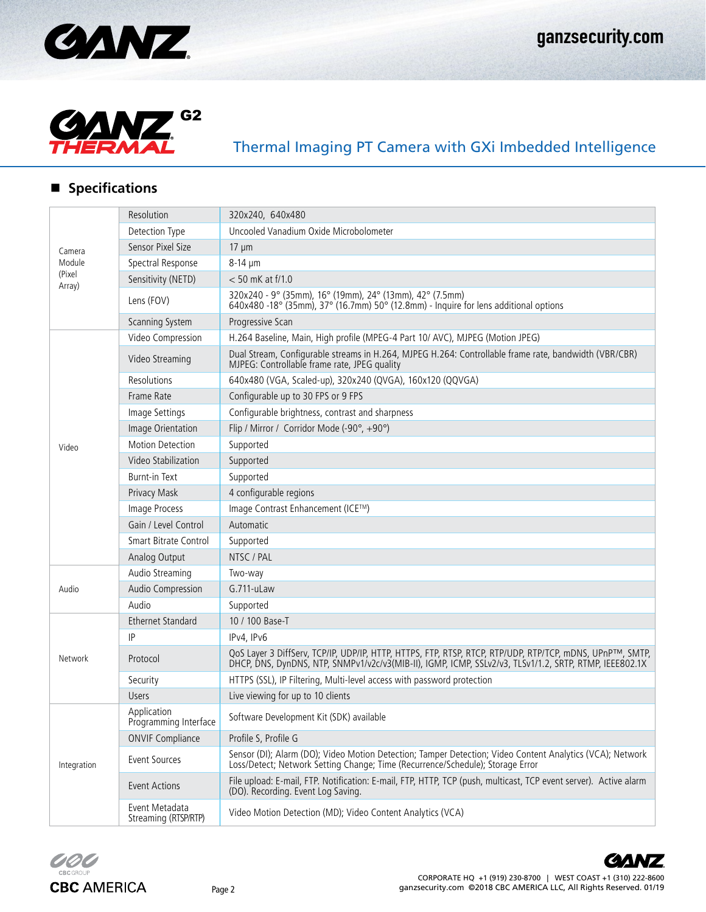



## **Specifications**

| Camera<br>Module<br>(Pixel<br>Array) | Resolution                             | 320x240, 640x480                                                                                                                                                                                                    |
|--------------------------------------|----------------------------------------|---------------------------------------------------------------------------------------------------------------------------------------------------------------------------------------------------------------------|
|                                      | Detection Type                         | Uncooled Vanadium Oxide Microbolometer                                                                                                                                                                              |
|                                      | Sensor Pixel Size                      | $17 \text{ µm}$                                                                                                                                                                                                     |
|                                      | Spectral Response                      | 8-14 µm                                                                                                                                                                                                             |
|                                      | Sensitivity (NETD)                     | $< 50$ mK at f/1.0                                                                                                                                                                                                  |
|                                      | Lens (FOV)                             | 320x240 - 9° (35mm), 16° (19mm), 24° (13mm), 42° (7.5mm)<br>640x480 -18° (35mm), 37° (16.7mm) 50° (12.8mm) - Inquire for lens additional options                                                                    |
|                                      | Scanning System                        | Progressive Scan                                                                                                                                                                                                    |
| Video                                | Video Compression                      | H.264 Baseline, Main, High profile (MPEG-4 Part 10/ AVC), MJPEG (Motion JPEG)                                                                                                                                       |
|                                      | Video Streaming                        | Dual Stream, Configurable streams in H.264, MJPEG H.264: Controllable frame rate, bandwidth (VBR/CBR)<br>MJPEG: Controllable frame rate, JPEG quality                                                               |
|                                      | Resolutions                            | 640x480 (VGA, Scaled-up), 320x240 (QVGA), 160x120 (QQVGA)                                                                                                                                                           |
|                                      | Frame Rate                             | Configurable up to 30 FPS or 9 FPS                                                                                                                                                                                  |
|                                      | Image Settings                         | Configurable brightness, contrast and sharpness                                                                                                                                                                     |
|                                      | Image Orientation                      | Flip / Mirror / Corridor Mode (-90°, +90°)                                                                                                                                                                          |
|                                      | Motion Detection                       | Supported                                                                                                                                                                                                           |
|                                      | Video Stabilization                    | Supported                                                                                                                                                                                                           |
|                                      | <b>Burnt-in Text</b>                   | Supported                                                                                                                                                                                                           |
|                                      | Privacy Mask                           | 4 configurable regions                                                                                                                                                                                              |
|                                      | Image Process                          | Image Contrast Enhancement (ICE™)                                                                                                                                                                                   |
|                                      | Gain / Level Control                   | Automatic                                                                                                                                                                                                           |
|                                      | <b>Smart Bitrate Control</b>           | Supported                                                                                                                                                                                                           |
|                                      | Analog Output                          | NTSC / PAL                                                                                                                                                                                                          |
|                                      | Audio Streaming                        | Two-way                                                                                                                                                                                                             |
| Audio                                | Audio Compression                      | G.711-uLaw                                                                                                                                                                                                          |
|                                      | Audio                                  | Supported                                                                                                                                                                                                           |
| Network                              | <b>Ethernet Standard</b>               | 10 / 100 Base-T                                                                                                                                                                                                     |
|                                      | IP                                     | IPv4, IPv6                                                                                                                                                                                                          |
|                                      | Protocol                               | QoS Layer 3 DiffServ, TCP/IP, UDP/IP, HTTP, HTTPS, FTP, RTSP, RTCP, RTP/UDP, RTP/TCP, mDNS, UPnPTM, SMTP,<br>DHCP, DNS, DynDNS, NTP, SNMPv1/v2c/v3(MIB-II), IGMP, ICMP, SSLv2/v3, TLSv1/1.2, SRTP, RTMP, IEEE802.1X |
|                                      | Security                               | HTTPS (SSL), IP Filtering, Multi-level access with password protection                                                                                                                                              |
|                                      | <b>Users</b>                           | Live viewing for up to 10 clients                                                                                                                                                                                   |
| Integration                          | Application<br>Programming Interface   | Software Development Kit (SDK) available                                                                                                                                                                            |
|                                      | <b>ONVIF Compliance</b>                | Profile S, Profile G                                                                                                                                                                                                |
|                                      | Event Sources                          | Sensor (DI); Alarm (DO); Video Motion Detection; Tamper Detection; Video Content Analytics (VCA); Network<br>Loss/Detect; Network Setting Change; Time (Recurrence/Schedule); Storage Error                         |
|                                      | <b>Event Actions</b>                   | File upload: E-mail, FTP. Notification: E-mail, FTP, HTTP, TCP (push, multicast, TCP event server). Active alarm<br>(DO). Recording. Event Log Saving.                                                              |
|                                      | Event Metadata<br>Streaming (RTSP/RTP) | Video Motion Detection (MD); Video Content Analytics (VCA)                                                                                                                                                          |



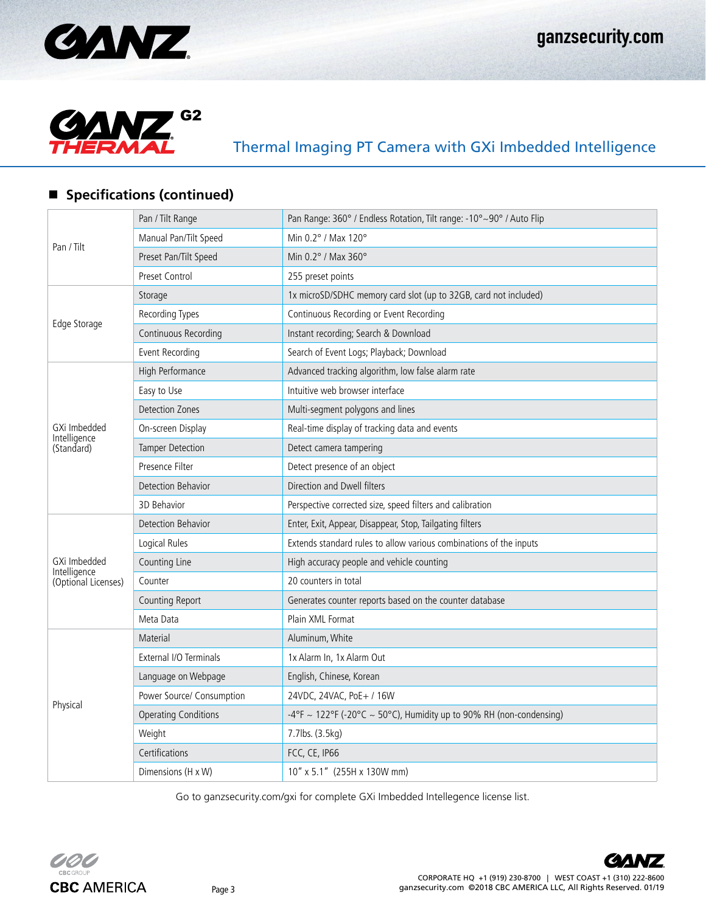



### **Specifications (continued)**

|                                     | Pan / Tilt Range            | Pan Range: 360° / Endless Rotation, Tilt range: -10°~90° / Auto Flip |
|-------------------------------------|-----------------------------|----------------------------------------------------------------------|
| Pan / Tilt                          | Manual Pan/Tilt Speed       | Min $0.2^\circ$ / Max 120 $^\circ$                                   |
|                                     | Preset Pan/Tilt Speed       | Min $0.2^\circ$ / Max 360 $^\circ$                                   |
|                                     | <b>Preset Control</b>       | 255 preset points                                                    |
| Edge Storage                        | Storage                     | 1x microSD/SDHC memory card slot (up to 32GB, card not included)     |
|                                     | Recording Types             | Continuous Recording or Event Recording                              |
|                                     | Continuous Recording        | Instant recording; Search & Download                                 |
|                                     | Event Recording             | Search of Event Logs; Playback; Download                             |
|                                     | High Performance            | Advanced tracking algorithm, low false alarm rate                    |
|                                     | Easy to Use                 | Intuitive web browser interface                                      |
|                                     | Detection Zones             | Multi-segment polygons and lines                                     |
| GXi Imbedded                        | On-screen Display           | Real-time display of tracking data and events                        |
| Intelligence<br>(Standard)          | <b>Tamper Detection</b>     | Detect camera tampering                                              |
|                                     | Presence Filter             | Detect presence of an object                                         |
|                                     | Detection Behavior          | Direction and Dwell filters                                          |
|                                     | 3D Behavior                 | Perspective corrected size, speed filters and calibration            |
|                                     | Detection Behavior          | Enter, Exit, Appear, Disappear, Stop, Tailgating filters             |
|                                     | Logical Rules               | Extends standard rules to allow various combinations of the inputs   |
| GXi Imbedded                        | Counting Line               | High accuracy people and vehicle counting                            |
| Intelligence<br>(Optional Licenses) | Counter                     | 20 counters in total                                                 |
|                                     | Counting Report             | Generates counter reports based on the counter database              |
|                                     | Meta Data                   | Plain XML Format                                                     |
|                                     | Material                    | Aluminum, White                                                      |
|                                     | External I/O Terminals      | 1x Alarm In, 1x Alarm Out                                            |
|                                     | Language on Webpage         | English, Chinese, Korean                                             |
|                                     | Power Source/ Consumption   | 24VDC, 24VAC, PoE+ / 16W                                             |
| Physical                            | <b>Operating Conditions</b> | -4°F ~ 122°F (-20°C ~ 50°C), Humidity up to 90% RH (non-condensing)  |
|                                     | Weight                      | 7.7lbs. (3.5kg)                                                      |
|                                     | Certifications              | FCC, CE, IP66                                                        |
|                                     | Dimensions (H x W)          | 10" x 5.1" (255H x 130W mm)                                          |

Go to ganzsecurity.com/gxi for complete GXi Imbedded Intellegence license list.